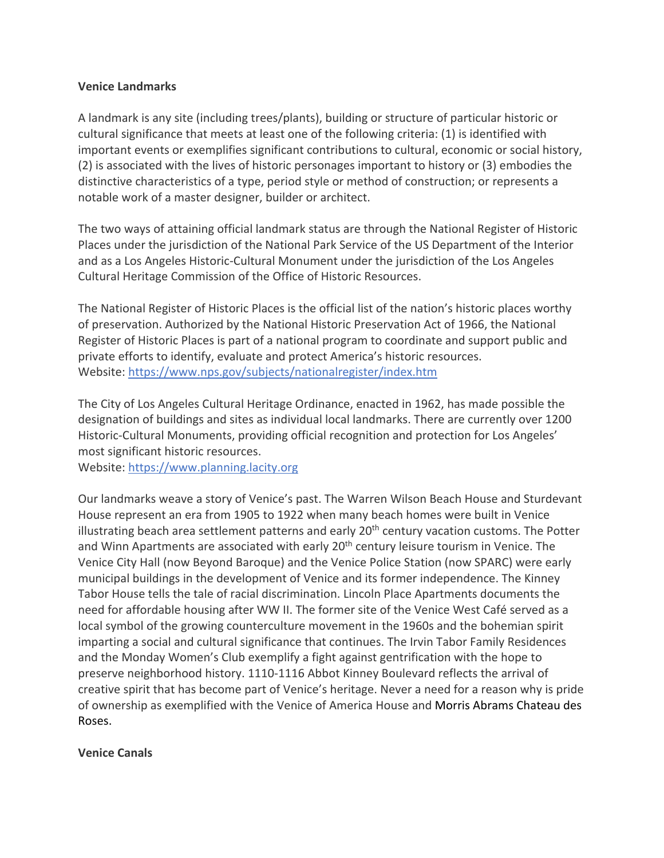#### **Venice Landmarks**

A landmark is any site (including trees/plants), building or structure of particular historic or cultural significance that meets at least one of the following criteria: (1) is identified with important events or exemplifies significant contributions to cultural, economic or social history, (2) is associated with the lives of historic personages important to history or (3) embodies the distinctive characteristics of a type, period style or method of construction; or represents a notable work of a master designer, builder or architect.

The two ways of attaining official landmark status are through the National Register of Historic Places under the jurisdiction of the National Park Service of the US Department of the Interior and as a Los Angeles Historic-Cultural Monument under the jurisdiction of the Los Angeles Cultural Heritage Commission of the Office of Historic Resources.

The National Register of Historic Places is the official list of the nation's historic places worthy of preservation. Authorized by the National Historic Preservation Act of 1966, the National Register of Historic Places is part of a national program to coordinate and support public and private efforts to identify, evaluate and protect America's historic resources. Website: https://www.nps.gov/subjects/nationalregister/index.htm

The City of Los Angeles Cultural Heritage Ordinance, enacted in 1962, has made possible the designation of buildings and sites as individual local landmarks. There are currently over 1200 Historic-Cultural Monuments, providing official recognition and protection for Los Angeles' most significant historic resources.

Website: https://www.planning.lacity.org

Our landmarks weave a story of Venice's past. The Warren Wilson Beach House and Sturdevant House represent an era from 1905 to 1922 when many beach homes were built in Venice illustrating beach area settlement patterns and early 20<sup>th</sup> century vacation customs. The Potter and Winn Apartments are associated with early 20<sup>th</sup> century leisure tourism in Venice. The Venice City Hall (now Beyond Baroque) and the Venice Police Station (now SPARC) were early municipal buildings in the development of Venice and its former independence. The Kinney Tabor House tells the tale of racial discrimination. Lincoln Place Apartments documents the need for affordable housing after WW II. The former site of the Venice West Café served as a local symbol of the growing counterculture movement in the 1960s and the bohemian spirit imparting a social and cultural significance that continues. The Irvin Tabor Family Residences and the Monday Women's Club exemplify a fight against gentrification with the hope to preserve neighborhood history. 1110-1116 Abbot Kinney Boulevard reflects the arrival of creative spirit that has become part of Venice's heritage. Never a need for a reason why is pride of ownership as exemplified with the Venice of America House and Morris Abrams Chateau des Roses.

**Venice Canals**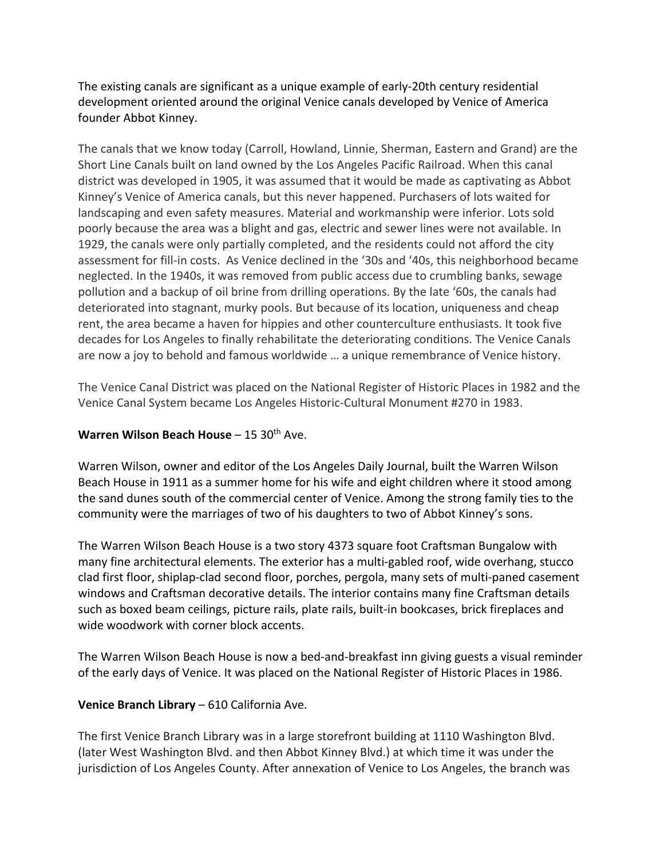The existing canals are significant as a unique example of early-20th century residential development oriented around the original Venice canals developed by Venice of America founder Abbot Kinney.

The canals that we know today (Carroll, Howland, Linnie, Sherman, Eastern and Grand) are the Short Line Canals built on land owned by the Los Angeles Pacific Railroad. When this canal district was developed in 1905, it was assumed that it would be made as captivating as Abbot Kinney's Venice of America canals, but this never happened. Purchasers of lots waited for landscaping and even safety measures. Material and workmanship were inferior. Lots sold poorly because the area was a blight and gas, electric and sewer lines were not available. In 1929, the canals were only partially completed, and the residents could not afford the city assessment for fill-in costs. As Venice declined in the '30s and '40s, this neighborhood became neglected. In the 1940s, it was removed from public access due to crumbling banks, sewage pollution and a backup of oil brine from drilling operations. By the late '60s, the canals had deteriorated into stagnant, murky pools. But because of its location, uniqueness and cheap rent, the area became a haven for hippies and other counterculture enthusiasts. It took five decades for Los Angeles to finally rehabilitate the deteriorating conditions. The Venice Canals are now a joy to behold and famous worldwide … a unique remembrance of Venice history.

The Venice Canal District was placed on the National Register of Historic Places in 1982 and the Venice Canal System became Los Angeles Historic-Cultural Monument #270 in 1983.

### **Warren Wilson Beach House** – 15 30<sup>th</sup> Ave.

Warren Wilson, owner and editor of the Los Angeles Daily Journal, built the Warren Wilson Beach House in 1911 as a summer home for his wife and eight children where it stood among the sand dunes south of the commercial center of Venice. Among the strong family ties to the community were the marriages of two of his daughters to two of Abbot Kinney's sons.

The Warren Wilson Beach House is a two story 4373 square foot Craftsman Bungalow with many fine architectural elements. The exterior has a multi-gabled roof, wide overhang, stucco clad first floor, shiplap-clad second floor, porches, pergola, many sets of multi-paned casement windows and Craftsman decorative details. The interior contains many fine Craftsman details such as boxed beam ceilings, picture rails, plate rails, built-in bookcases, brick fireplaces and wide woodwork with corner block accents.

The Warren Wilson Beach House is now a bed-and-breakfast inn giving guests a visual reminder of the early days of Venice. It was placed on the National Register of Historic Places in 1986.

# **Venice Branch Library** – 610 California Ave.

The first Venice Branch Library was in a large storefront building at 1110 Washington Blvd. (later West Washington Blvd. and then Abbot Kinney Blvd.) at which time it was under the jurisdiction of Los Angeles County. After annexation of Venice to Los Angeles, the branch was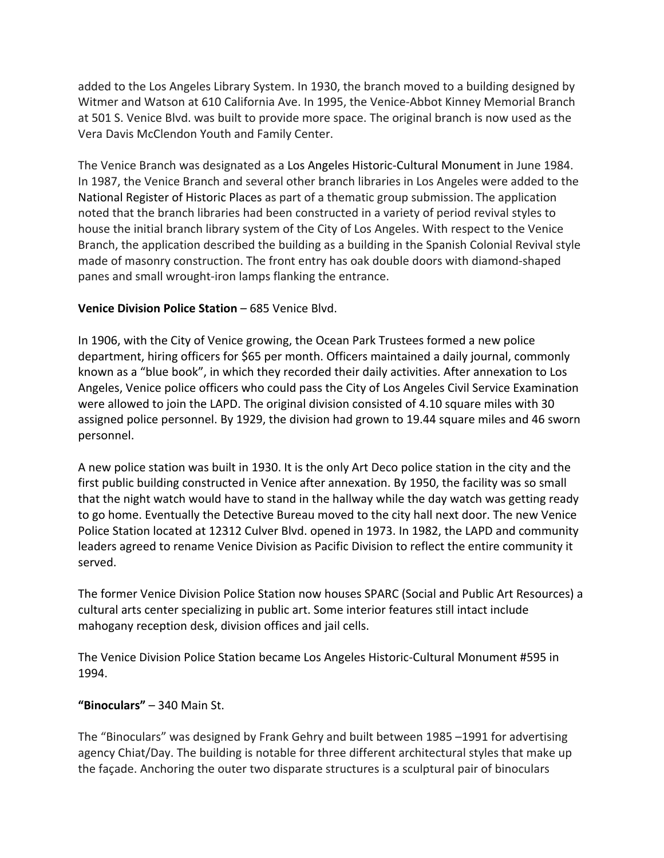added to the Los Angeles Library System. In 1930, the branch moved to a building designed by Witmer and Watson at 610 California Ave. In 1995, the Venice-Abbot Kinney Memorial Branch at 501 S. Venice Blvd. was built to provide more space. The original branch is now used as the Vera Davis McClendon Youth and Family Center.

The Venice Branch was designated as a Los Angeles Historic-Cultural Monument in June 1984. In 1987, the Venice Branch and several other branch libraries in Los Angeles were added to the National Register of Historic Places as part of a thematic group submission. The application noted that the branch libraries had been constructed in a variety of period revival styles to house the initial branch library system of the City of Los Angeles. With respect to the Venice Branch, the application described the building as a building in the Spanish Colonial Revival style made of masonry construction. The front entry has oak double doors with diamond-shaped panes and small wrought-iron lamps flanking the entrance.

#### **Venice Division Police Station** – 685 Venice Blvd.

In 1906, with the City of Venice growing, the Ocean Park Trustees formed a new police department, hiring officers for \$65 per month. Officers maintained a daily journal, commonly known as a "blue book", in which they recorded their daily activities. After annexation to Los Angeles, Venice police officers who could pass the City of Los Angeles Civil Service Examination were allowed to join the LAPD. The original division consisted of 4.10 square miles with 30 assigned police personnel. By 1929, the division had grown to 19.44 square miles and 46 sworn personnel.

A new police station was built in 1930. It is the only Art Deco police station in the city and the first public building constructed in Venice after annexation. By 1950, the facility was so small that the night watch would have to stand in the hallway while the day watch was getting ready to go home. Eventually the Detective Bureau moved to the city hall next door. The new Venice Police Station located at 12312 Culver Blvd. opened in 1973. In 1982, the LAPD and community leaders agreed to rename Venice Division as Pacific Division to reflect the entire community it served.

The former Venice Division Police Station now houses SPARC (Social and Public Art Resources) a cultural arts center specializing in public art. Some interior features still intact include mahogany reception desk, division offices and jail cells.

The Venice Division Police Station became Los Angeles Historic-Cultural Monument #595 in 1994.

# **"Binoculars"** – 340 Main St.

The "Binoculars" was designed by Frank Gehry and built between 1985 –1991 for advertising agency Chiat/Day. The building is notable for three different architectural styles that make up the façade. Anchoring the outer two disparate structures is a sculptural pair of binoculars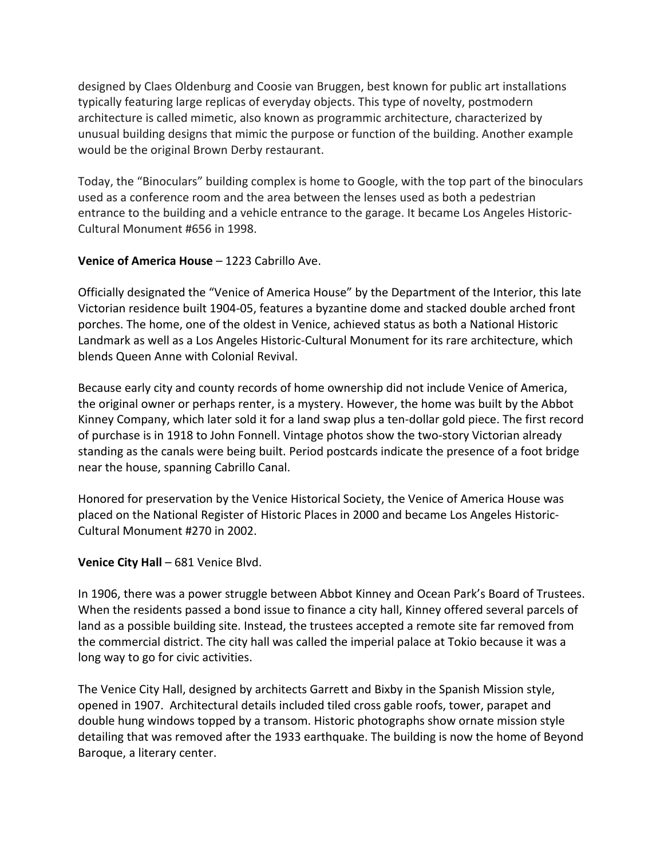designed by Claes Oldenburg and Coosie van Bruggen, best known for public art installations typically featuring large replicas of everyday objects. This type of novelty, postmodern architecture is called mimetic, also known as programmic architecture, characterized by unusual building designs that mimic the purpose or function of the building. Another example would be the original Brown Derby restaurant.

Today, the "Binoculars" building complex is home to Google, with the top part of the binoculars used as a conference room and the area between the lenses used as both a pedestrian entrance to the building and a vehicle entrance to the garage. It became Los Angeles Historic-Cultural Monument #656 in 1998.

#### **Venice of America House** – 1223 Cabrillo Ave.

Officially designated the "Venice of America House" by the Department of the Interior, this late Victorian residence built 1904-05, features a byzantine dome and stacked double arched front porches. The home, one of the oldest in Venice, achieved status as both a National Historic Landmark as well as a Los Angeles Historic-Cultural Monument for its rare architecture, which blends Queen Anne with Colonial Revival.

Because early city and county records of home ownership did not include Venice of America, the original owner or perhaps renter, is a mystery. However, the home was built by the Abbot Kinney Company, which later sold it for a land swap plus a ten-dollar gold piece. The first record of purchase is in 1918 to John Fonnell. Vintage photos show the two-story Victorian already standing as the canals were being built. Period postcards indicate the presence of a foot bridge near the house, spanning Cabrillo Canal.

Honored for preservation by the Venice Historical Society, the Venice of America House was placed on the National Register of Historic Places in 2000 and became Los Angeles Historic-Cultural Monument #270 in 2002.

# **Venice City Hall** – 681 Venice Blvd.

In 1906, there was a power struggle between Abbot Kinney and Ocean Park's Board of Trustees. When the residents passed a bond issue to finance a city hall, Kinney offered several parcels of land as a possible building site. Instead, the trustees accepted a remote site far removed from the commercial district. The city hall was called the imperial palace at Tokio because it was a long way to go for civic activities.

The Venice City Hall, designed by architects Garrett and Bixby in the Spanish Mission style, opened in 1907. Architectural details included tiled cross gable roofs, tower, parapet and double hung windows topped by a transom. Historic photographs show ornate mission style detailing that was removed after the 1933 earthquake. The building is now the home of Beyond Baroque, a literary center.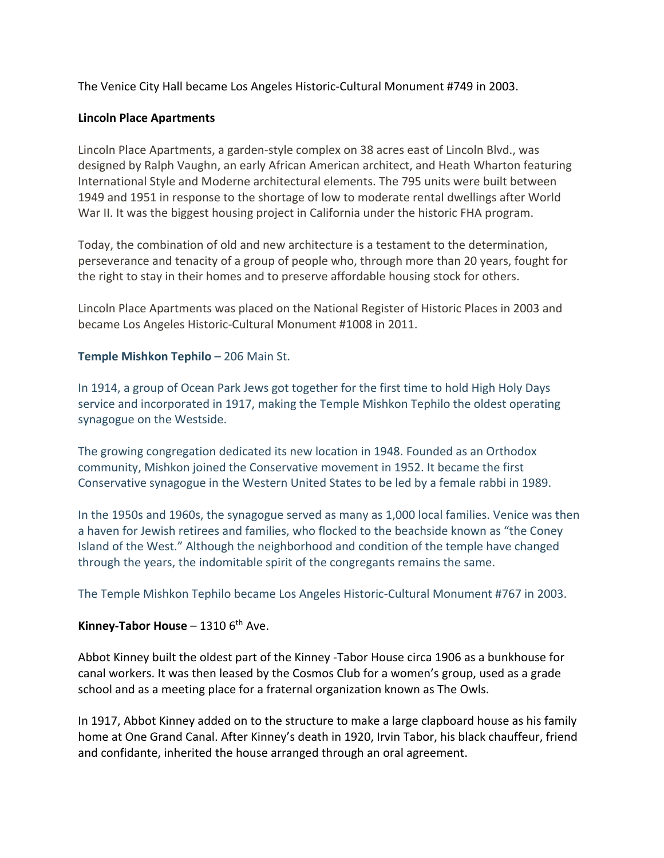The Venice City Hall became Los Angeles Historic-Cultural Monument #749 in 2003.

#### **Lincoln Place Apartments**

Lincoln Place Apartments, a garden-style complex on 38 acres east of Lincoln Blvd., was designed by Ralph Vaughn, an early African American architect, and Heath Wharton featuring International Style and Moderne architectural elements. The 795 units were built between 1949 and 1951 in response to the shortage of low to moderate rental dwellings after World War II. It was the biggest housing project in California under the historic FHA program.

Today, the combination of old and new architecture is a testament to the determination, perseverance and tenacity of a group of people who, through more than 20 years, fought for the right to stay in their homes and to preserve affordable housing stock for others.

Lincoln Place Apartments was placed on the National Register of Historic Places in 2003 and became Los Angeles Historic-Cultural Monument #1008 in 2011.

#### **Temple Mishkon Tephilo** – 206 Main St.

In 1914, a group of Ocean Park Jews got together for the first time to hold High Holy Days service and incorporated in 1917, making the Temple Mishkon Tephilo the oldest operating synagogue on the Westside.

The growing congregation dedicated its new location in 1948. Founded as an Orthodox community, Mishkon joined the Conservative movement in 1952. It became the first Conservative synagogue in the Western United States to be led by a female rabbi in 1989.

In the 1950s and 1960s, the synagogue served as many as 1,000 local families. Venice was then a haven for Jewish retirees and families, who flocked to the beachside known as "the Coney Island of the West." Although the neighborhood and condition of the temple have changed through the years, the indomitable spirit of the congregants remains the same.

The Temple Mishkon Tephilo became Los Angeles Historic-Cultural Monument #767 in 2003.

# **Kinney-Tabor House** – 1310 6<sup>th</sup> Ave.

Abbot Kinney built the oldest part of the Kinney -Tabor House circa 1906 as a bunkhouse for canal workers. It was then leased by the Cosmos Club for a women's group, used as a grade school and as a meeting place for a fraternal organization known as The Owls.

In 1917, Abbot Kinney added on to the structure to make a large clapboard house as his family home at One Grand Canal. After Kinney's death in 1920, Irvin Tabor, his black chauffeur, friend and confidante, inherited the house arranged through an oral agreement.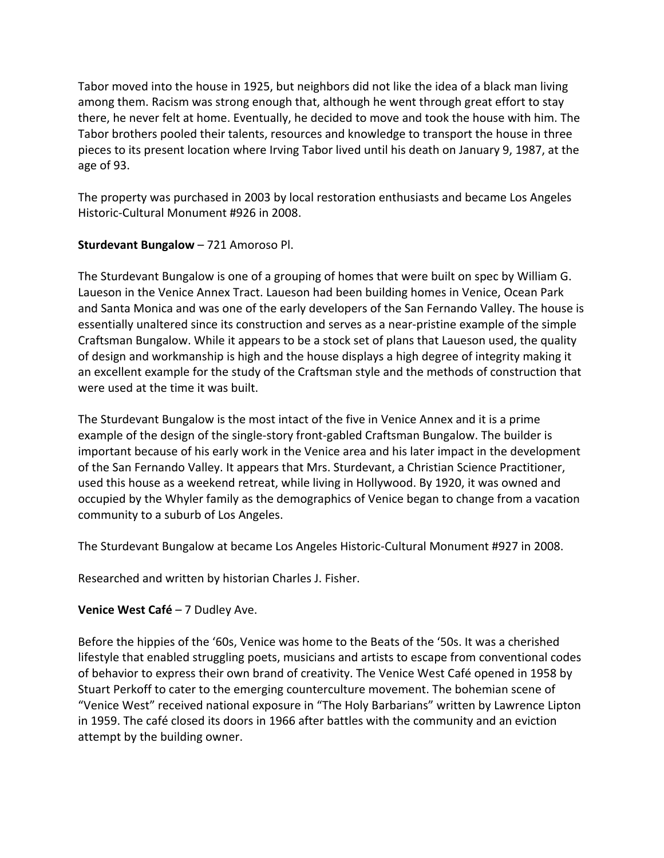Tabor moved into the house in 1925, but neighbors did not like the idea of a black man living among them. Racism was strong enough that, although he went through great effort to stay there, he never felt at home. Eventually, he decided to move and took the house with him. The Tabor brothers pooled their talents, resources and knowledge to transport the house in three pieces to its present location where Irving Tabor lived until his death on January 9, 1987, at the age of 93.

The property was purchased in 2003 by local restoration enthusiasts and became Los Angeles Historic-Cultural Monument #926 in 2008.

# **Sturdevant Bungalow** – 721 Amoroso Pl.

The Sturdevant Bungalow is one of a grouping of homes that were built on spec by William G. Laueson in the Venice Annex Tract. Laueson had been building homes in Venice, Ocean Park and Santa Monica and was one of the early developers of the San Fernando Valley. The house is essentially unaltered since its construction and serves as a near-pristine example of the simple Craftsman Bungalow. While it appears to be a stock set of plans that Laueson used, the quality of design and workmanship is high and the house displays a high degree of integrity making it an excellent example for the study of the Craftsman style and the methods of construction that were used at the time it was built.

The Sturdevant Bungalow is the most intact of the five in Venice Annex and it is a prime example of the design of the single-story front-gabled Craftsman Bungalow. The builder is important because of his early work in the Venice area and his later impact in the development of the San Fernando Valley. It appears that Mrs. Sturdevant, a Christian Science Practitioner, used this house as a weekend retreat, while living in Hollywood. By 1920, it was owned and occupied by the Whyler family as the demographics of Venice began to change from a vacation community to a suburb of Los Angeles.

The Sturdevant Bungalow at became Los Angeles Historic-Cultural Monument #927 in 2008.

Researched and written by historian Charles J. Fisher.

# **Venice West Café** – 7 Dudley Ave.

Before the hippies of the '60s, Venice was home to the Beats of the '50s. It was a cherished lifestyle that enabled struggling poets, musicians and artists to escape from conventional codes of behavior to express their own brand of creativity. The Venice West Café opened in 1958 by Stuart Perkoff to cater to the emerging counterculture movement. The bohemian scene of "Venice West" received national exposure in "The Holy Barbarians" written by Lawrence Lipton in 1959. The café closed its doors in 1966 after battles with the community and an eviction attempt by the building owner.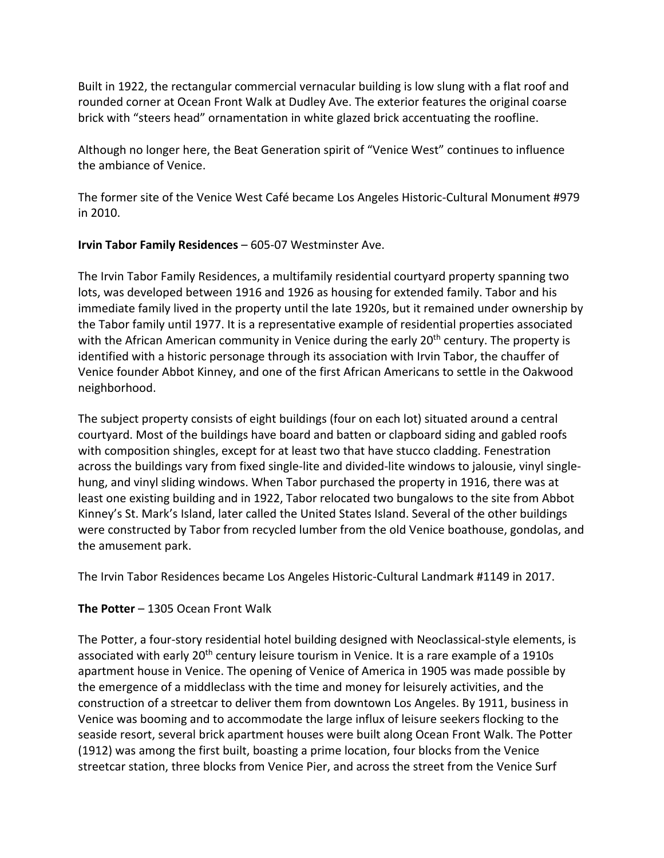Built in 1922, the rectangular commercial vernacular building is low slung with a flat roof and rounded corner at Ocean Front Walk at Dudley Ave. The exterior features the original coarse brick with "steers head" ornamentation in white glazed brick accentuating the roofline.

Although no longer here, the Beat Generation spirit of "Venice West" continues to influence the ambiance of Venice.

The former site of the Venice West Café became Los Angeles Historic-Cultural Monument #979 in 2010.

# **Irvin Tabor Family Residences** – 605-07 Westminster Ave.

The Irvin Tabor Family Residences, a multifamily residential courtyard property spanning two lots, was developed between 1916 and 1926 as housing for extended family. Tabor and his immediate family lived in the property until the late 1920s, but it remained under ownership by the Tabor family until 1977. It is a representative example of residential properties associated with the African American community in Venice during the early  $20<sup>th</sup>$  century. The property is identified with a historic personage through its association with Irvin Tabor, the chauffer of Venice founder Abbot Kinney, and one of the first African Americans to settle in the Oakwood neighborhood.

The subject property consists of eight buildings (four on each lot) situated around a central courtyard. Most of the buildings have board and batten or clapboard siding and gabled roofs with composition shingles, except for at least two that have stucco cladding. Fenestration across the buildings vary from fixed single-lite and divided-lite windows to jalousie, vinyl singlehung, and vinyl sliding windows. When Tabor purchased the property in 1916, there was at least one existing building and in 1922, Tabor relocated two bungalows to the site from Abbot Kinney's St. Mark's Island, later called the United States Island. Several of the other buildings were constructed by Tabor from recycled lumber from the old Venice boathouse, gondolas, and the amusement park.

The Irvin Tabor Residences became Los Angeles Historic-Cultural Landmark #1149 in 2017.

# **The Potter** – 1305 Ocean Front Walk

The Potter, a four-story residential hotel building designed with Neoclassical-style elements, is associated with early 20<sup>th</sup> century leisure tourism in Venice. It is a rare example of a 1910s apartment house in Venice. The opening of Venice of America in 1905 was made possible by the emergence of a middleclass with the time and money for leisurely activities, and the construction of a streetcar to deliver them from downtown Los Angeles. By 1911, business in Venice was booming and to accommodate the large influx of leisure seekers flocking to the seaside resort, several brick apartment houses were built along Ocean Front Walk. The Potter (1912) was among the first built, boasting a prime location, four blocks from the Venice streetcar station, three blocks from Venice Pier, and across the street from the Venice Surf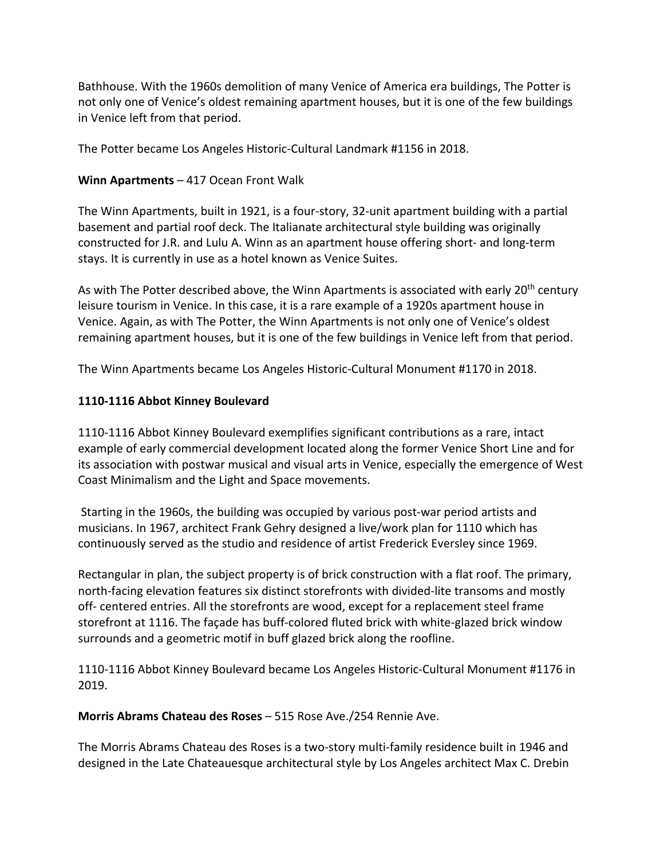Bathhouse. With the 1960s demolition of many Venice of America era buildings, The Potter is not only one of Venice's oldest remaining apartment houses, but it is one of the few buildings in Venice left from that period.

The Potter became Los Angeles Historic-Cultural Landmark #1156 in 2018.

#### **Winn Apartments** – 417 Ocean Front Walk

The Winn Apartments, built in 1921, is a four-story, 32-unit apartment building with a partial basement and partial roof deck. The Italianate architectural style building was originally constructed for J.R. and Lulu A. Winn as an apartment house offering short- and long-term stays. It is currently in use as a hotel known as Venice Suites.

As with The Potter described above, the Winn Apartments is associated with early 20<sup>th</sup> century leisure tourism in Venice. In this case, it is a rare example of a 1920s apartment house in Venice. Again, as with The Potter, the Winn Apartments is not only one of Venice's oldest remaining apartment houses, but it is one of the few buildings in Venice left from that period.

The Winn Apartments became Los Angeles Historic-Cultural Monument #1170 in 2018.

#### **1110-1116 Abbot Kinney Boulevard**

1110-1116 Abbot Kinney Boulevard exemplifies significant contributions as a rare, intact example of early commercial development located along the former Venice Short Line and for its association with postwar musical and visual arts in Venice, especially the emergence of West Coast Minimalism and the Light and Space movements.

Starting in the 1960s, the building was occupied by various post-war period artists and musicians. In 1967, architect Frank Gehry designed a live/work plan for 1110 which has continuously served as the studio and residence of artist Frederick Eversley since 1969.

Rectangular in plan, the subject property is of brick construction with a flat roof. The primary, north-facing elevation features six distinct storefronts with divided-lite transoms and mostly off- centered entries. All the storefronts are wood, except for a replacement steel frame storefront at 1116. The façade has buff-colored fluted brick with white-glazed brick window surrounds and a geometric motif in buff glazed brick along the roofline.

1110-1116 Abbot Kinney Boulevard became Los Angeles Historic-Cultural Monument #1176 in 2019.

**Morris Abrams Chateau des Roses** – 515 Rose Ave./254 Rennie Ave.

The Morris Abrams Chateau des Roses is a two-story multi-family residence built in 1946 and designed in the Late Chateauesque architectural style by Los Angeles architect Max C. Drebin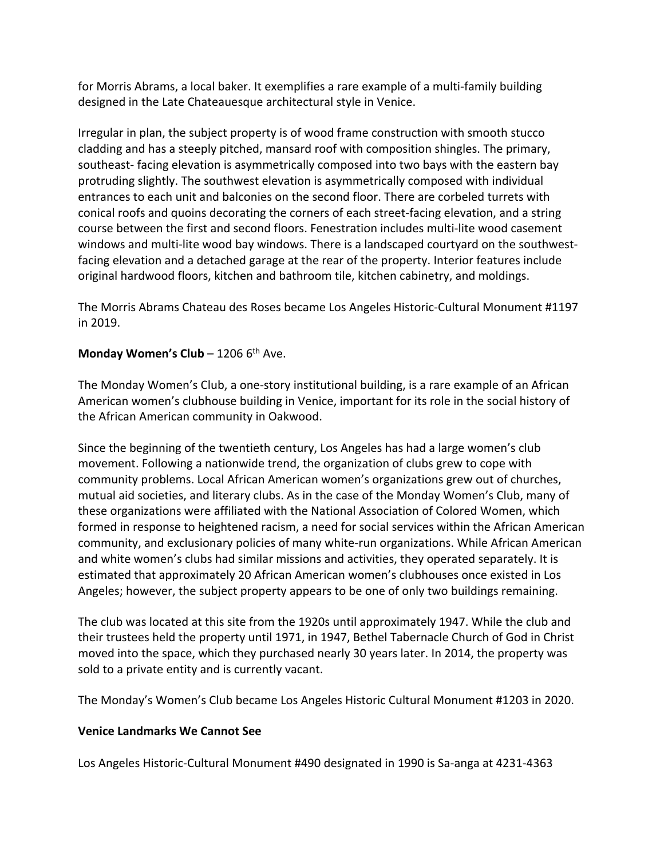for Morris Abrams, a local baker. It exemplifies a rare example of a multi-family building designed in the Late Chateauesque architectural style in Venice.

Irregular in plan, the subject property is of wood frame construction with smooth stucco cladding and has a steeply pitched, mansard roof with composition shingles. The primary, southeast- facing elevation is asymmetrically composed into two bays with the eastern bay protruding slightly. The southwest elevation is asymmetrically composed with individual entrances to each unit and balconies on the second floor. There are corbeled turrets with conical roofs and quoins decorating the corners of each street-facing elevation, and a string course between the first and second floors. Fenestration includes multi-lite wood casement windows and multi-lite wood bay windows. There is a landscaped courtyard on the southwestfacing elevation and a detached garage at the rear of the property. Interior features include original hardwood floors, kitchen and bathroom tile, kitchen cabinetry, and moldings.

The Morris Abrams Chateau des Roses became Los Angeles Historic-Cultural Monument #1197 in 2019.

# **Monday Women's Club** – 1206 6<sup>th</sup> Ave.

The Monday Women's Club, a one-story institutional building, is a rare example of an African American women's clubhouse building in Venice, important for its role in the social history of the African American community in Oakwood.

Since the beginning of the twentieth century, Los Angeles has had a large women's club movement. Following a nationwide trend, the organization of clubs grew to cope with community problems. Local African American women's organizations grew out of churches, mutual aid societies, and literary clubs. As in the case of the Monday Women's Club, many of these organizations were affiliated with the National Association of Colored Women, which formed in response to heightened racism, a need for social services within the African American community, and exclusionary policies of many white-run organizations. While African American and white women's clubs had similar missions and activities, they operated separately. It is estimated that approximately 20 African American women's clubhouses once existed in Los Angeles; however, the subject property appears to be one of only two buildings remaining.

The club was located at this site from the 1920s until approximately 1947. While the club and their trustees held the property until 1971, in 1947, Bethel Tabernacle Church of God in Christ moved into the space, which they purchased nearly 30 years later. In 2014, the property was sold to a private entity and is currently vacant.

The Monday's Women's Club became Los Angeles Historic Cultural Monument #1203 in 2020.

#### **Venice Landmarks We Cannot See**

Los Angeles Historic-Cultural Monument #490 designated in 1990 is Sa-anga at 4231-4363